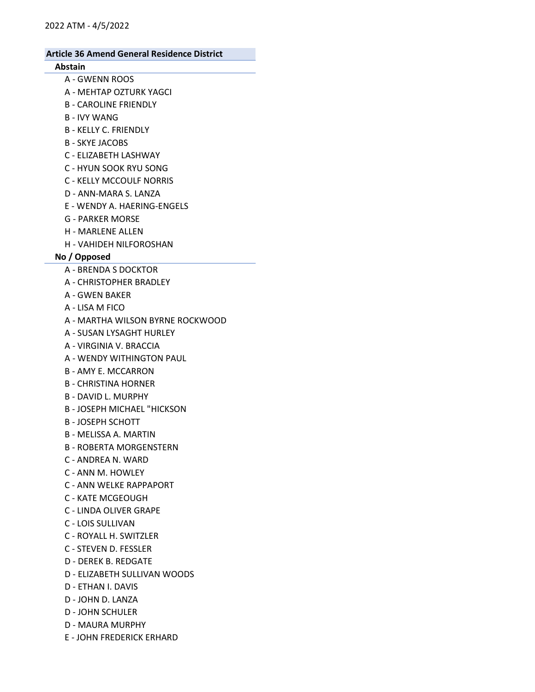# Abstain

- A GWENN ROOS
- A MEHTAP OZTURK YAGCI
- B CAROLINE FRIENDLY
- B IVY WANG
- B KELLY C. FRIENDLY
- B SKYE JACOBS
- C ELIZABETH LASHWAY
- C HYUN SOOK RYU SONG
- C KELLY MCCOULF NORRIS
- D ANN-MARA S. LANZA
- E WENDY A. HAERING-ENGELS
- G PARKER MORSE
- H MARLENE ALLEN
- H VAHIDEH NILFOROSHAN

#### No / Opposed

- A BRENDA S DOCKTOR
- A CHRISTOPHER BRADLEY
- A GWEN BAKER
- A LISA M FICO
- A MARTHA WILSON BYRNE ROCKWOOD
- A SUSAN LYSAGHT HURLEY
- A VIRGINIA V. BRACCIA
- A WENDY WITHINGTON PAUL
- B AMY E. MCCARRON
- B CHRISTINA HORNER
- B DAVID L. MURPHY
- B JOSEPH MICHAEL "HICKSON
- B JOSEPH SCHOTT
- B MELISSA A. MARTIN
- B ROBERTA MORGENSTERN
- C ANDREA N. WARD
- C ANN M. HOWLEY
- C ANN WELKE RAPPAPORT
- C KATE MCGEOUGH
- C LINDA OLIVER GRAPE
- C LOIS SULLIVAN
- C ROYALL H. SWITZLER
- C STEVEN D. FESSLER
- D DEREK B. REDGATE
- D ELIZABETH SULLIVAN WOODS
- D ETHAN I. DAVIS
- D JOHN D. LANZA
- D JOHN SCHULER
- D MAURA MURPHY
- E JOHN FREDERICK ERHARD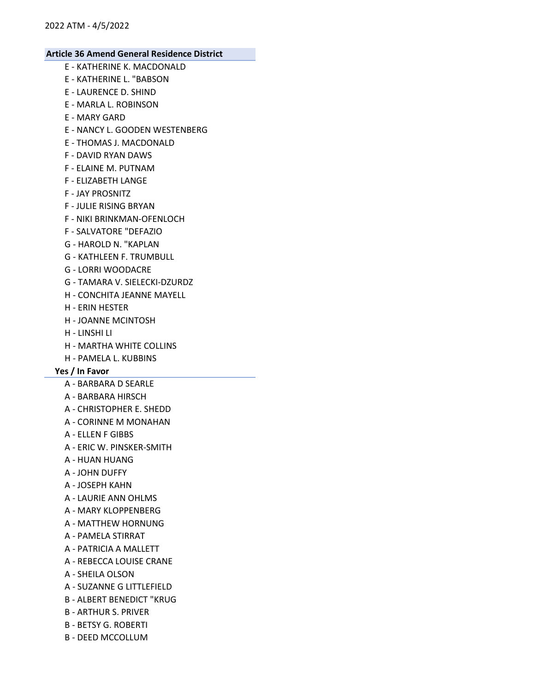- E KATHERINE K. MACDONALD
- E KATHERINE L. "BABSON
- E LAURENCE D. SHIND
- E MARLA L. ROBINSON
- E MARY GARD
- E NANCY L. GOODEN WESTENBERG
- E THOMAS J. MACDONALD
- F DAVID RYAN DAWS
- F ELAINE M. PUTNAM
- F ELIZABETH LANGE
- F JAY PROSNITZ
- F JULIE RISING BRYAN
- F NIKI BRINKMAN-OFENLOCH
- F SALVATORE "DEFAZIO
- G HAROLD N. "KAPLAN
- G KATHLEEN F. TRUMBULL
- G LORRI WOODACRE
- G TAMARA V. SIELECKI-DZURDZ
- H CONCHITA JEANNE MAYELL
- H ERIN HESTER
- H JOANNE MCINTOSH
- H LINSHI LI
- H MARTHA WHITE COLLINS
- H PAMELA L. KUBBINS

# Yes / In Favor

- A BARBARA D SEARLE
- A BARBARA HIRSCH
- A CHRISTOPHER E. SHEDD
- A CORINNE M MONAHAN
- A ELLEN F GIBBS
- A ERIC W. PINSKER-SMITH
- A HUAN HUANG
- A JOHN DUFFY
- A JOSEPH KAHN
- A LAURIE ANN OHLMS
- A MARY KLOPPENBERG
- A MATTHEW HORNUNG
- A PAMELA STIRRAT
- A PATRICIA A MALLETT
- A REBECCA LOUISE CRANE
- A SHEILA OLSON
- A SUZANNE G LITTLEFIELD
- B ALBERT BENEDICT "KRUG
- B ARTHUR S. PRIVER
- B BETSY G. ROBERTI
- B DEED MCCOLLUM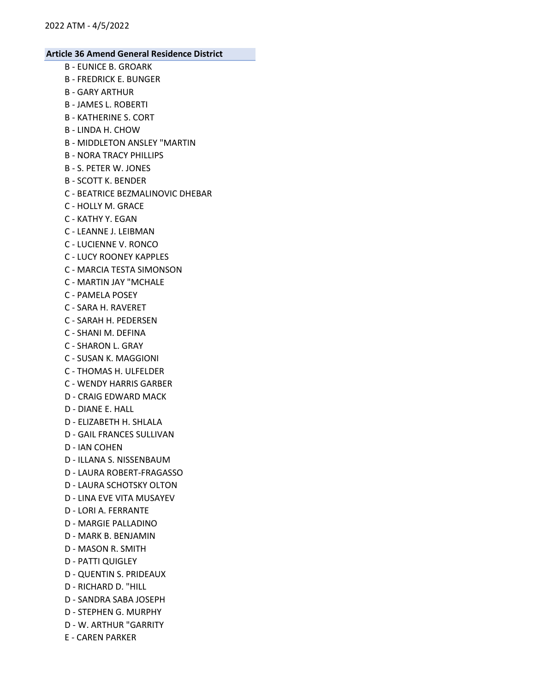- B EUNICE B. GROARK
- B FREDRICK E. BUNGER
- B GARY ARTHUR
- B JAMES L. ROBERTI
- B KATHERINE S. CORT
- B LINDA H. CHOW
- B MIDDLETON ANSLEY "MARTIN
- B NORA TRACY PHILLIPS
- B S. PETER W. JONES
- B SCOTT K. BENDER
- C BEATRICE BEZMALINOVIC DHEBAR
- C HOLLY M. GRACE
- C KATHY Y. EGAN
- C LEANNE J. LEIBMAN
- C LUCIENNE V. RONCO
- C LUCY ROONEY KAPPLES
- C MARCIA TESTA SIMONSON
- C MARTIN JAY "MCHALE
- C PAMELA POSEY
- C SARA H. RAVERET
- C SARAH H. PEDERSEN
- C SHANI M. DEFINA
- C SHARON L. GRAY
- C SUSAN K. MAGGIONI
- C THOMAS H. ULFELDER
- C WENDY HARRIS GARBER
- D CRAIG EDWARD MACK
- D DIANE E. HALL
- D ELIZABETH H. SHLALA
- D GAIL FRANCES SULLIVAN
- D IAN COHEN
- D ILLANA S. NISSENBAUM
- D LAURA ROBERT-FRAGASSO
- D LAURA SCHOTSKY OLTON
- D LINA EVE VITA MUSAYEV
- D LORI A. FERRANTE
- D MARGIE PALLADINO
- D MARK B. BENJAMIN
- D MASON R. SMITH
- D PATTI QUIGLEY
- D QUENTIN S. PRIDEAUX
- D RICHARD D. "HILL
- D SANDRA SABA JOSEPH
- D STEPHEN G. MURPHY
- D W. ARTHUR "GARRITY
- E CAREN PARKER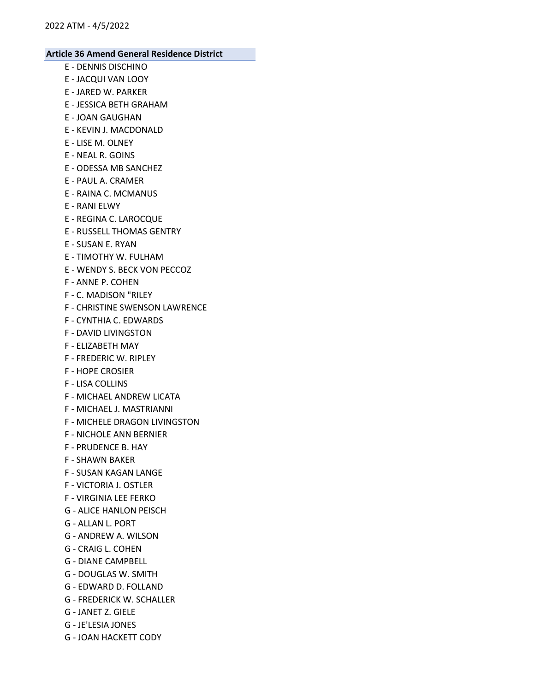- E DENNIS DISCHINO
- E JACQUI VAN LOOY
- E JARED W. PARKER
- E JESSICA BETH GRAHAM
- E JOAN GAUGHAN
- E KEVIN J. MACDONALD
- E LISE M. OLNEY
- E NEAL R. GOINS
- E ODESSA MB SANCHEZ
- E PAUL A. CRAMER
- E RAINA C. MCMANUS
- E RANI ELWY
- E REGINA C. LAROCQUE
- E RUSSELL THOMAS GENTRY
- E SUSAN E. RYAN
- E TIMOTHY W. FULHAM
- E WENDY S. BECK VON PECCOZ
- F ANNE P. COHEN
- F C. MADISON "RILEY
- F CHRISTINE SWENSON LAWRENCE
- F CYNTHIA C. EDWARDS
- F DAVID LIVINGSTON
- F ELIZABETH MAY
- F FREDERIC W. RIPLEY
- F HOPE CROSIER
- F LISA COLLINS
- F MICHAEL ANDREW LICATA
- F MICHAEL J. MASTRIANNI
- F MICHELE DRAGON LIVINGSTON
- F NICHOLE ANN BERNIER
- F PRUDENCE B. HAY
- F SHAWN BAKER
- F SUSAN KAGAN LANGE
- F VICTORIA J. OSTLER
- F VIRGINIA LEE FERKO
- G ALICE HANLON PEISCH
- G ALLAN L. PORT
- G ANDREW A. WILSON
- G CRAIG L. COHEN
- G DIANE CAMPBELL
- G DOUGLAS W. SMITH
- G EDWARD D. FOLLAND
- G FREDERICK W. SCHALLER
- G JANET Z. GIELE
- G JE'LESIA JONES
- G JOAN HACKETT CODY